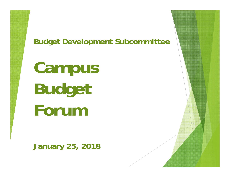**Budget Development Subcommittee**

**Campus Budget Forum**

**January 25, 2018**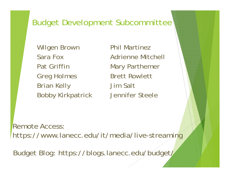## Budget Development Subcommittee

Wilgen Brown Sara FoxPat GriffinGreg Holmes Brian Kelly Bobby Kirkpatrick

Phil MartinezAdrienne MitchellMary Parthemer Brett RowlettJim SaltJennifer Steele

Remote Access: https://www.lanecc.edu/it/media/live-streaming

Budget Blog: https://blogs.lanecc.edu/budget/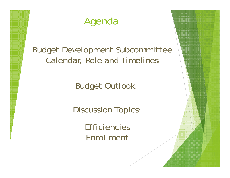# Agenda

Budget Development Subcommittee Calendar, Role and Timelines

Budget Outlook

Discussion Topics:

**Efficiencies** Enrollment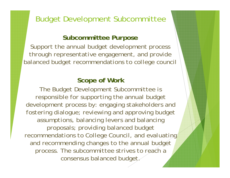## Budget Development Subcommittee

### **Subcommittee Purpose**

*Support the annual budget development process through representative engagement, and provide balanced budget recommendations to college council*

### **Scope of Work**

*The Budget Development Subcommittee is responsible for supporting the annual budget development process by: engaging stakeholders and fostering dialogue; reviewing and approving budget assumptions, balancing levers and balancing proposals; providing balanced budget recommendations to College Council, and evaluating and recommending changes to the annual budget process. The subcommittee strives to reach a consensus balanced budget.*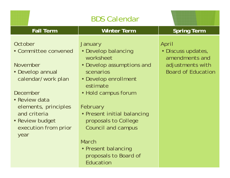| <b>Fall Term</b>                                                                                                                                                                                              | <b>Winter Term</b>                                                                                                                                                                                                                                      | <b>Spring Term</b>                                                                             |
|---------------------------------------------------------------------------------------------------------------------------------------------------------------------------------------------------------------|---------------------------------------------------------------------------------------------------------------------------------------------------------------------------------------------------------------------------------------------------------|------------------------------------------------------------------------------------------------|
| October<br>• Committee convened<br>November<br>• Develop annual<br>calendar/work plan<br>December<br>• Review data<br>elements, principles<br>and criteria<br>· Review budget<br>execution from prior<br>year | <b>January</b><br>• Develop balancing<br>worksheet<br>• Develop assumptions and<br>scenarios<br>• Develop enrollment<br>estimate<br>• Hold campus forum<br>February<br>• Present initial balancing<br>proposals to College<br><b>Council and campus</b> | April<br>· Discuss updates,<br>amendments and<br>adjustments with<br><b>Board of Education</b> |
|                                                                                                                                                                                                               | March<br>• Present balancing<br>proposals to Board of                                                                                                                                                                                                   |                                                                                                |

Education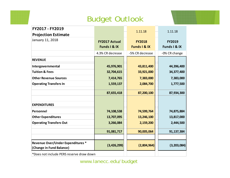## Budget Outlook

| FY2017 - FY2019                                               |                      | 1.11.18                 | 1.11.18       |
|---------------------------------------------------------------|----------------------|-------------------------|---------------|
| <b>Projection Estimate</b>                                    |                      |                         |               |
| January 11, 2018                                              | <b>FY2017 Actual</b> | <b>FY2018</b>           | <b>FY2019</b> |
|                                                               | Funds I & IX         | <b>Funds I &amp; IX</b> | Funds I & IX  |
|                                                               | 4.3% CR decrease     | -5% CR decrease         | -0% CR change |
| <b>REVENUE</b>                                                |                      |                         |               |
| Intergovernmental                                             | 45,976,901           | 43,811,400              | 44,396,400    |
| <b>Tuition &amp; Fees</b>                                     | 32,704,615           | 33,921,000              | 34,377,400    |
| <b>Other Revenue Sources</b>                                  | 7,414,765            | 7,383,000               | 7,383,000     |
| <b>Operating Transfers In</b>                                 | 1,559,137            | 2,084,700               | 1,777,500     |
|                                                               | 87,655,418           | 87,200,100              | 87,934,300    |
|                                                               |                      |                         |               |
| <b>EXPENDITURES</b>                                           |                      |                         |               |
| Personnel                                                     | 74,108,538           | 74,599,764              | 74,875,884    |
| <b>Other Expenditures</b>                                     | 13,707,095           | 13,246,100              | 13,817,000    |
| <b>Operating Transfers Out</b>                                | 3,266,084            | 2,159,200               | 2,444,500     |
|                                                               | 91,081,717           | 90,005,064              | 91,137,384    |
|                                                               |                      |                         |               |
| Revenue Over/Under Expenditures *<br>(Change in Fund Balance) | (3,426,299)          | (2,804,964)             | (3,203,084)   |
| *Does not include PERS reserve draw down                      |                      |                         |               |

www.lanecc.edu/budget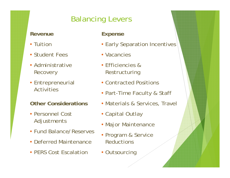## Balancing Levers

### **Revenue**

- Tuition
- Student Fees
- Administrative **Recovery**
- Entrepreneurial **Activities**

### **Other Considerations**

- Personnel Cost Adjustments
- Fund Balance/Reserves
- Deferred Maintenance
- PERS Cost Escalation

### **Expense**

- Early Separation Incentives
- Vacancies
- Efficiencies & Restructuring
- Contracted Positions
- Part-Time Faculty & Staff
- Materials & Services, Travel
- Capital Outlay
- Major Maintenance
- Program & Service **Reductions**
- Outsourcing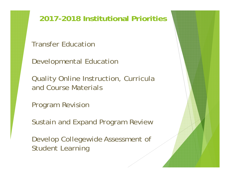**2017-2018 Institutional Priorities**

Transfer Education

Developmental Education

Quality Online Instruction, Curricula and Course Materials

Program Revision

Sustain and Expand Program Review

Develop Collegewide Assessment of Student Learning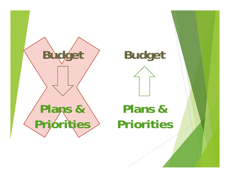



# **Plans & Priorities**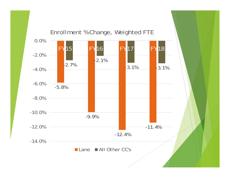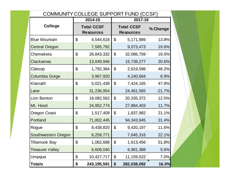| COMMUNITY COLLEGE SUPPORT FUND (CCSF) |                |                                       |                            |                                       |          |  |
|---------------------------------------|----------------|---------------------------------------|----------------------------|---------------------------------------|----------|--|
|                                       |                | 2014-15                               |                            | 2017-18                               |          |  |
| <b>College</b>                        |                | <b>Total CCSF</b><br><b>Resources</b> |                            | <b>Total CCSF</b><br><b>Resources</b> | % Change |  |
| <b>Blue Mountain</b>                  | $\mathfrak{L}$ | 4,544,618                             | $\boldsymbol{\mathsf{S}}$  | 5,171,989                             | 13.8%    |  |
| <b>Central Oregon</b>                 |                | 7,585,792                             |                            | 9,073,473                             | 19.6%    |  |
| Chemeketa                             | $\mathfrak{L}$ | 26,843,332                            | $\boldsymbol{\mathcal{L}}$ | 32,086,759                            | 19.5%    |  |
| <b>Clackamas</b>                      |                | 13,049,946                            |                            | 15,738,277                            | 20.6%    |  |
| Clatsop                               | $\mathfrak{P}$ | 1,792,364                             | $\boldsymbol{\mathcal{L}}$ | 2,619,598                             | 46.2%    |  |
| <b>Columbia Gorge</b>                 |                | 3,967,920                             |                            | 4,240,684                             | 6.9%     |  |
| Klamath                               | $\mathfrak{S}$ | 5,021,439                             | $\boldsymbol{\mathsf{S}}$  | 7,424,165                             | 47.8%    |  |
| Lane                                  |                | 31,236,954                            |                            | 24,461,565                            | $-21.7%$ |  |
| Linn Benton                           | $\mathfrak{L}$ | 18,082,562                            | $\boldsymbol{\mathcal{S}}$ | 20,335,372                            | 12.5%    |  |
| Mt. Hood                              |                | 24,952,774                            |                            | 27,884,403                            | 11.7%    |  |
| <b>Oregon Coast</b>                   | $\mathfrak{L}$ | 1,517,409                             | $\boldsymbol{\mathsf{S}}$  | 1,837,982                             | 21.1%    |  |
| Portland                              |                | 71,802,445                            |                            | 94, 343, 945                          | 31.4%    |  |
| Rogue                                 | $\mathfrak{P}$ | 8,438,820                             | $\boldsymbol{\mathcal{L}}$ | 9,420,197                             | 11.6%    |  |
| Southwestern Oregon                   |                | 6,259,771                             |                            | 7,645,316                             | 22.1%    |  |
| Tillamook Bay                         | \$             | 1,062,688                             | \$                         | 1,613,456                             | 51,8%    |  |
| <b>Treasure Valley</b>                |                | 6,609,040                             |                            | 6,981,388                             | 5.6%     |  |
| Umpqua                                | \$             | 10,427,717                            | $\boldsymbol{\mathsf{S}}$  | 11, 159, 522                          | 7.0%     |  |
| <b>Totals</b>                         | \$             | 243, 195, 591                         | \$                         | 282,038,092                           | 16.0%    |  |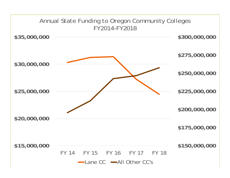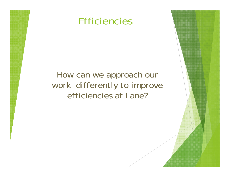## Efficiencies

## How can we approach our work differently to improve efficiencies at Lane?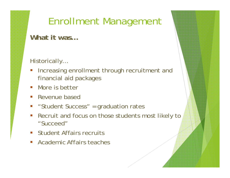# Enrollment Management

**What it was…**

### Historically…

- Increasing enrollment through recruitment and financial aid packages
- More is better
- **Service Service** Revenue based
- er<br>19 "Student Success" = graduation rates
- Recruit and focus on those students most likely to "Succeed"
- **Student Affairs recruits**
- $\mathcal{L}_{\mathcal{A}}$ Academic Affairs teaches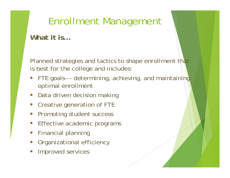# Enrollment Management

**What it is…**

Planned strategies and tactics to shape enrollment that is best for the college and includes:

- er<br>19 FTE goals--- determining, achieving, and maintaining optimal enrollment
- **Service Service** Data driven decision making
- er<br>19 Creative generation of FTE
- Promoting student success
- er<br>19 Effective academic programs
- $\mathcal{L}_{\mathcal{A}}$ Financial planning
- **Service Service** Organizational efficiency
- er<br>19 Improved services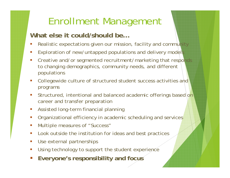# Enrollment Management

### **What else it could/should be…**

- П Realistic expectations given our mission, facility and community
- П Exploration of new/untapped populations and delivery models
- П Creative and/or segmented recruitment/marketing that responds to changing demographics, community needs, and different populations
- П Collegewide culture of structured student success activities and programs
- П Structured, intentional and balanced academic offerings based on career and transfer preparation
- $\mathcal{L}_{\mathcal{A}}$ Assisted long-term financial planning
- П Organizational efficiency in academic scheduling and services
- $\mathcal{L}_{\mathcal{A}}$ Multiple measures of "Success"
- $\mathbb{R}^2$ Look outside the institution for ideas and best practices
- П Use external partnerships
- П Using technology to support the student experience
- $\mathcal{L}_{\mathcal{A}}$ **Everyone's responsibility and focus**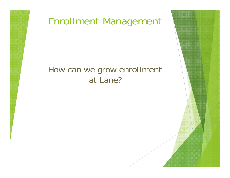

## How can we grow enrollment at Lane?